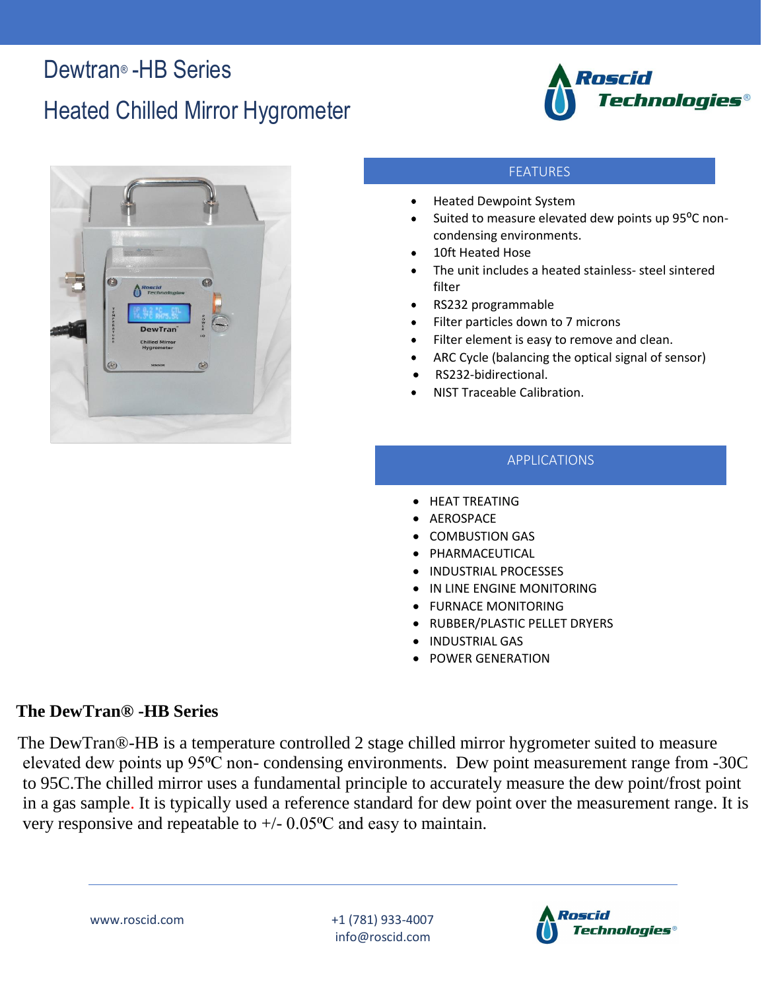### Dewtran<sup>®</sup> -HB Series

## Heated Chilled Mirror Hygrometer





#### FEATURES

- Heated Dewpoint System
- Suited to measure elevated dew points up 95<sup>o</sup>C noncondensing environments.
- 10ft Heated Hose
- The unit includes a heated stainless- steel sintered filter
- RS232 programmable
- Filter particles down to 7 microns
- Filter element is easy to remove and clean.
- ARC Cycle (balancing the optical signal of sensor)
- RS232-bidirectional.
- NIST Traceable Calibration.

### APPLICATIONS

- HEAT TREATING
- AEROSPACE
- COMBUSTION GAS
- **PHARMACEUTICAL**
- INDUSTRIAL PROCESSES
- IN LINE ENGINE MONITORING
- FURNACE MONITORING
- RUBBER/PLASTIC PELLET DRYERS
- INDUSTRIAL GAS
- POWER GENERATION

### **The DewTran® -HB Series**

 The DewTran®-HB is a temperature controlled 2 stage chilled mirror hygrometer suited to measure elevated dew points up 95<sup>o</sup>C non- condensing environments. Dew point measurement range from -30C to 95C.The chilled mirror uses a fundamental principle to accurately measure the dew point/frost point in a gas sample. It is typically used a reference standard for dew point over the measurement range. It is very responsive and repeatable to  $+/- 0.05^{\circ}$ C and easy to maintain.

www.roscid.com +1 (781) 933-4007 info@roscid.com

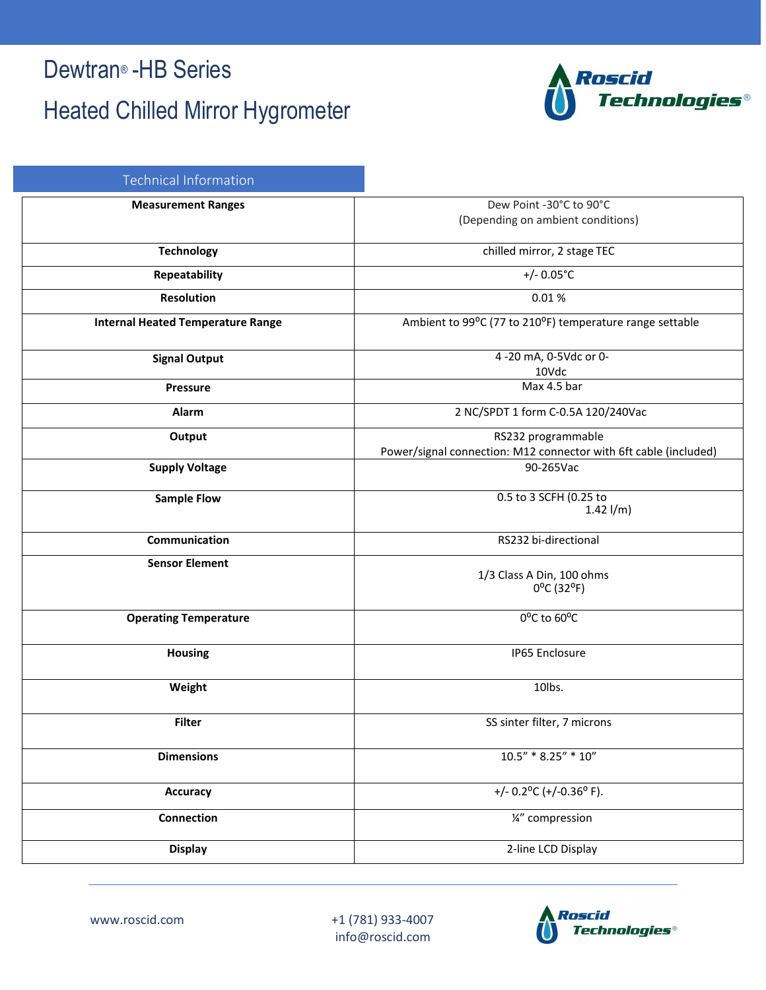### Dewtran® -HB Series

## Heated Chilled Mirror Hygrometer



| <b>Technical Information</b>             |                                                                               |
|------------------------------------------|-------------------------------------------------------------------------------|
| <b>Measurement Ranges</b>                | Dew Point -30°C to 90°C<br>(Depending on ambient conditions)                  |
| <b>Technology</b>                        | chilled mirror, 2 stage TEC                                                   |
| Repeatability                            | +/- $0.05^{\circ}$ C                                                          |
| <b>Resolution</b>                        | 0.01%                                                                         |
| <b>Internal Heated Temperature Range</b> | Ambient to 99°C (77 to 210°F) temperature range settable                      |
| <b>Signal Output</b>                     | 4 -20 mA, 0-5Vdc or 0-<br>10Vdc                                               |
| <b>Pressure</b>                          | Max 4.5 bar                                                                   |
| Alarm                                    | 2 NC/SPDT 1 form C-0.5A 120/240Vac                                            |
| Output                                   | RS232 programmable                                                            |
| <b>Supply Voltage</b>                    | Power/signal connection: M12 connector with 6ft cable (included)<br>90-265Vac |
|                                          |                                                                               |
| <b>Sample Flow</b>                       | 0.5 to 3 SCFH (0.25 to<br>$1.42$ l/m)                                         |
| Communication                            | RS232 bi-directional                                                          |
| <b>Sensor Element</b>                    | 1/3 Class A Din, 100 ohms<br>$0^{\circ}$ C (32°F)                             |
| <b>Operating Temperature</b>             | 0°C to 60°C                                                                   |
| <b>Housing</b>                           | IP65 Enclosure                                                                |
| Weight                                   | 10lbs.                                                                        |
| <b>Filter</b>                            | SS sinter filter, 7 microns                                                   |
| <b>Dimensions</b>                        | $10.5" * 8.25" * 10"$                                                         |
| <b>Accuracy</b>                          | +/- $0.2$ °C (+/-0.36°F).                                                     |
| <b>Connection</b>                        | 1/2" compression                                                              |
| <b>Display</b>                           | 2-line LCD Display                                                            |



www.roscid.com +1 (781) 933-4007 info@roscid.com